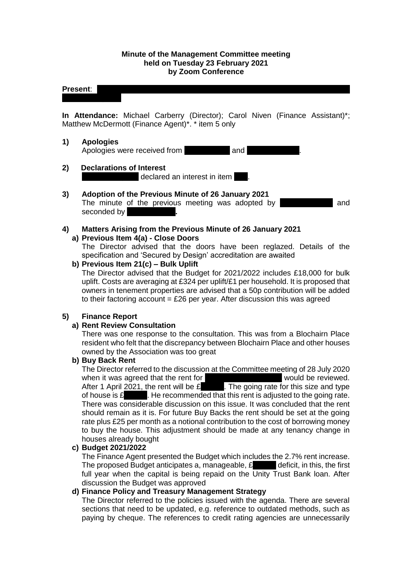### **Minute of the Management Committee meeting held on Tuesday 23 February 2021 by Zoom Conference**

### **Present:** Manal Eshelli; Michelle Murray-Moore; Catherine Neil; Joan Reuston; Joan Reuston; Joan Reuston; Joan Reuston; Joan Reuston; Catherine Neil; Joan Reuston; Joan Reuston; Joan Reuston; Joan Reuston; Joan Reuston; J

**In Attendance:** Michael Carberry (Director); Carol Niven (Finance Assistant)\*; Matthew McDermott (Finance Agent)\*. \* item 5 only

#### **1) Apologies**

Apologies were received from National Mand 1

**2) Declarations of Interest** declared an interest in item  $\blacksquare$ .

## **3) Adoption of the Previous Minute of 26 January 2021**

The minute of the previous meeting was adopted by **Alleman Republic** and seconded by

#### **4) Matters Arising from the Previous Minute of 26 January 2021 a) Previous Item 4(a) - Close Doors**

The Director advised that the doors have been reglazed. Details of the specification and 'Secured by Design' accreditation are awaited

### **b) Previous Item 21(c) – Bulk Uplift**

The Director advised that the Budget for 2021/2022 includes £18,000 for bulk uplift. Costs are averaging at £324 per uplift/£1 per household. It is proposed that owners in tenement properties are advised that a 50p contribution will be added to their factoring account  $=$  £26 per year. After discussion this was agreed

## **5) Finance Report**

## **a) Rent Review Consultation**

There was one response to the consultation. This was from a Blochairn Place resident who felt that the discrepancy between Blochairn Place and other houses owned by the Association was too great

### **b) Buy Back Rent**

The Director referred to the discussion at the Committee meeting of 28 July 2020 when it was agreed that the rent for 18 Blochairn Place 20 and 18 Blochairn Place 20 and 20 would be reviewed. After 1 April 2021, the rent will be  $\mathfrak k$  **The going rate for this size and type** of house is  $\mathbf{\pounds}$  . He recommended that this rent is adjusted to the going rate. There was considerable discussion on this issue. It was concluded that the rent should remain as it is. For future Buy Backs the rent should be set at the going rate plus £25 per month as a notional contribution to the cost of borrowing money to buy the house. This adjustment should be made at any tenancy change in houses already bought

### **c) Budget 2021/2022**

The Finance Agent presented the Budget which includes the 2.7% rent increase. The proposed Budget anticipates a, manageable,  $\boldsymbol{\epsilon}$   $\boldsymbol{\epsilon}$  deficit, in this, the first full year when the capital is being repaid on the Unity Trust Bank loan. After discussion the Budget was approved

### **d) Finance Policy and Treasury Management Strategy**

The Director referred to the policies issued with the agenda. There are several sections that need to be updated, e.g. reference to outdated methods, such as paying by cheque. The references to credit rating agencies are unnecessarily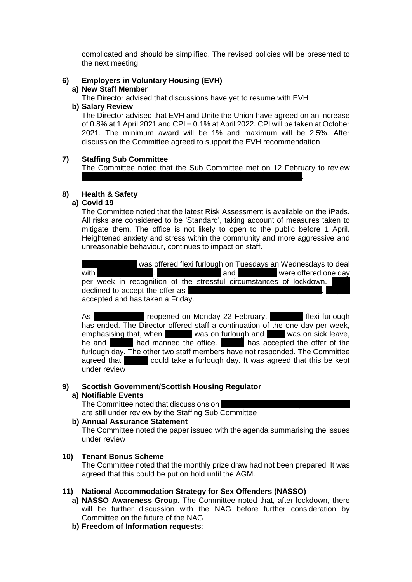complicated and should be simplified. The revised policies will be presented to the next meeting

# **6) Employers in Voluntary Housing (EVH)**

### **a) New Staff Member**

The Director advised that discussions have yet to resume with EVH

confidential issues from 2019/2020, including the Notifiable Event.

### **b) Salary Review**

The Director advised that EVH and Unite the Union have agreed on an increase of 0.8% at 1 April 2021 and CPI + 0.1% at April 2022. CPI will be taken at October 2021. The minimum award will be 1% and maximum will be 2.5%. After discussion the Committee agreed to support the EVH recommendation

### **7) Staffing Sub Committee**

The Committee noted that the Sub Committee met on 12 February to review

## **8) Health & Safety**

### **a) Covid 19**

The Committee noted that the latest Risk Assessment is available on the iPads. All risks are considered to be 'Standard', taking account of measures taken to mitigate them. The office is not likely to open to the public before 1 April. Heightened anxiety and stress within the community and more aggressive and unreasonable behaviour, continues to impact on staff.

was offered flexi furlough on Tuesdays an Wednesdays to deal with child care issues. And care is usually care is usually were offered one day per week in recognition of the stressful circumstances of lockdown. declined to accept the offer as accepted and has taken a Friday.

As nurse-reopened on Monday 22 February, The flexi furlough has ended. The Director offered staff a continuation of the one day per week, emphasising that, when was on furlough and vas on sick leave, he and **Anglela had manned the office.** Angle has accepted the offer of the furlough day. The other two staff members have not responded. The Committee agreed that  $\blacksquare$  could take a furlough day. It was agreed that this be kept under review

### **9) Scottish Government/Scottish Housing Regulator**

### **a) Notifiable Events**

The Committee noted that discussions on

are still under review by the Staffing Sub Committee

### **b) Annual Assurance Statement**

The Committee noted the paper issued with the agenda summarising the issues under review

## **10) Tenant Bonus Scheme**

The Committee noted that the monthly prize draw had not been prepared. It was agreed that this could be put on hold until the AGM.

## **11) National Accommodation Strategy for Sex Offenders (NASSO)**

- **a) NASSO Awareness Group.** The Committee noted that, after lockdown, there will be further discussion with the NAG before further consideration by Committee on the future of the NAG
- **b) Freedom of Information requests**: